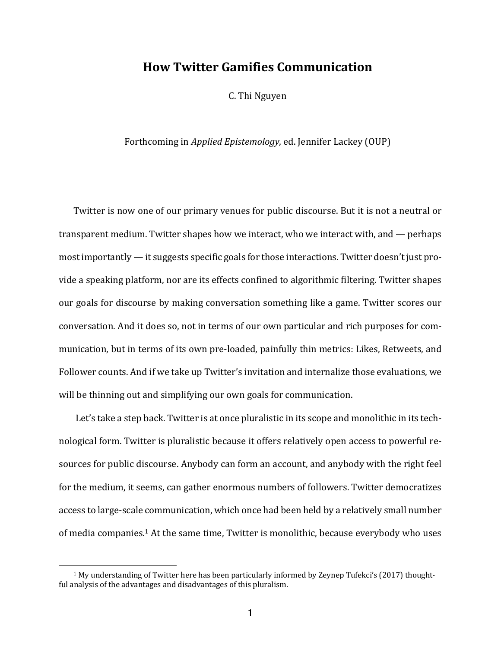# **How Twitter Gamifies Communication**

C. Thi Nguyen

Forthcoming in *Applied Epistemology*, ed. Jennifer Lackey (OUP)

Twitter is now one of our primary venues for public discourse. But it is not a neutral or transparent medium. Twitter shapes how we interact, who we interact with, and  $-$  perhaps most importantly — it suggests specific goals for those interactions. Twitter doesn't just provide a speaking platform, nor are its effects confined to algorithmic filtering. Twitter shapes our goals for discourse by making conversation something like a game. Twitter scores our conversation. And it does so, not in terms of our own particular and rich purposes for communication, but in terms of its own pre-loaded, painfully thin metrics: Likes, Retweets, and Follower counts. And if we take up Twitter's invitation and internalize those evaluations, we will be thinning out and simplifying our own goals for communication.

Let's take a step back. Twitter is at once pluralistic in its scope and monolithic in its technological form. Twitter is pluralistic because it offers relatively open access to powerful resources for public discourse. Anybody can form an account, and anybody with the right feel for the medium, it seems, can gather enormous numbers of followers. Twitter democratizes access to large-scale communication, which once had been held by a relatively small number of media companies.<sup>1</sup> At the same time, Twitter is monolithic, because everybody who uses

 $1$  My understanding of Twitter here has been particularly informed by Zeynep Tufekci's (2017) thoughtful analysis of the advantages and disadvantages of this pluralism.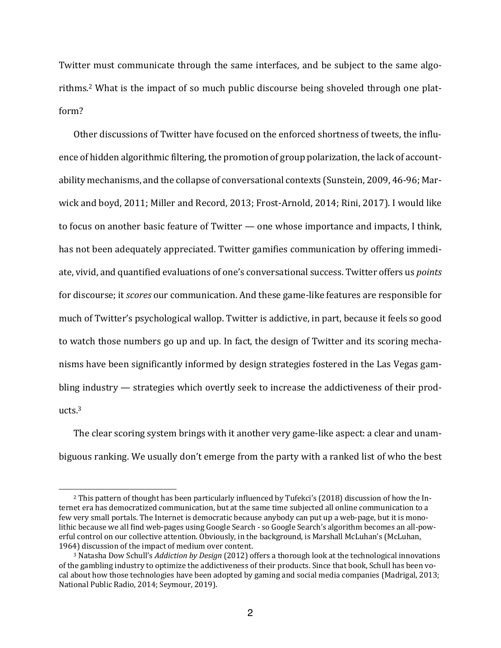Twitter must communicate through the same interfaces, and be subject to the same algorithms.<sup>2</sup> What is the impact of so much public discourse being shoveled through one platform? 

Other discussions of Twitter have focused on the enforced shortness of tweets, the influence of hidden algorithmic filtering, the promotion of group polarization, the lack of accountability mechanisms, and the collapse of conversational contexts (Sunstein, 2009, 46-96; Marwick and boyd, 2011; Miller and Record, 2013; Frost-Arnold, 2014; Rini, 2017). I would like to focus on another basic feature of Twitter  $\frac{1}{2}$  one whose importance and impacts, I think, has not been adequately appreciated. Twitter gamifies communication by offering immediate, vivid, and quantified evaluations of one's conversational success. Twitter offers us *points* for discourse; it *scores* our communication. And these game-like features are responsible for much of Twitter's psychological wallop. Twitter is addictive, in part, because it feels so good to watch those numbers go up and up. In fact, the design of Twitter and its scoring mechanisms have been significantly informed by design strategies fostered in the Las Vegas gambling industry  $-$  strategies which overtly seek to increase the addictiveness of their products.3

The clear scoring system brings with it another very game-like aspect: a clear and unambiguous ranking. We usually don't emerge from the party with a ranked list of who the best

 $^2$  This pattern of thought has been particularly influenced by Tufekci's (2018) discussion of how the Internet era has democratized communication, but at the same time subjected all online communication to a few very small portals. The Internet is democratic because anybody can put up a web-page, but it is monolithic because we all find web-pages using Google Search - so Google Search's algorithm becomes an all-powerful control on our collective attention. Obviously, in the background, is Marshall McLuhan's (McLuhan, 1964) discussion of the impact of medium over content.

<sup>&</sup>lt;sup>3</sup> Natasha Dow Schull's *Addiction by Design* (2012) offers a thorough look at the technological innovations of the gambling industry to optimize the addictiveness of their products. Since that book, Schull has been vocal about how those technologies have been adopted by gaming and social media companies (Madrigal, 2013; National Public Radio, 2014; Seymour, 2019).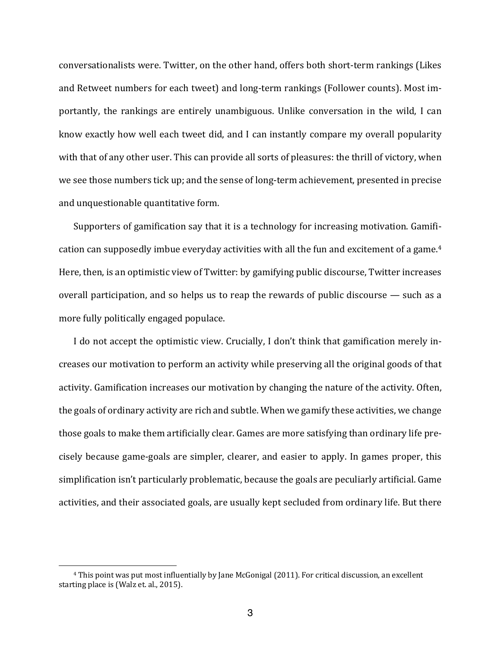conversationalists were. Twitter, on the other hand, offers both short-term rankings (Likes and Retweet numbers for each tweet) and long-term rankings (Follower counts). Most importantly, the rankings are entirely unambiguous. Unlike conversation in the wild, I can know exactly how well each tweet did, and I can instantly compare my overall popularity with that of any other user. This can provide all sorts of pleasures: the thrill of victory, when we see those numbers tick up; and the sense of long-term achievement, presented in precise and unquestionable quantitative form.

Supporters of gamification say that it is a technology for increasing motivation. Gamification can supposedly imbue everyday activities with all the fun and excitement of a game.<sup>4</sup> Here, then, is an optimistic view of Twitter: by gamifying public discourse, Twitter increases overall participation, and so helps us to reap the rewards of public discourse  $-$  such as a more fully politically engaged populace.

I do not accept the optimistic view. Crucially, I don't think that gamification merely increases our motivation to perform an activity while preserving all the original goods of that activity. Gamification increases our motivation by changing the nature of the activity. Often, the goals of ordinary activity are rich and subtle. When we gamify these activities, we change those goals to make them artificially clear. Games are more satisfying than ordinary life precisely because game-goals are simpler, clearer, and easier to apply. In games proper, this simplification isn't particularly problematic, because the goals are peculiarly artificial. Game activities, and their associated goals, are usually kept secluded from ordinary life. But there

 $4$  This point was put most influentially by Jane McGonigal (2011). For critical discussion, an excellent starting place is (Walz et. al., 2015).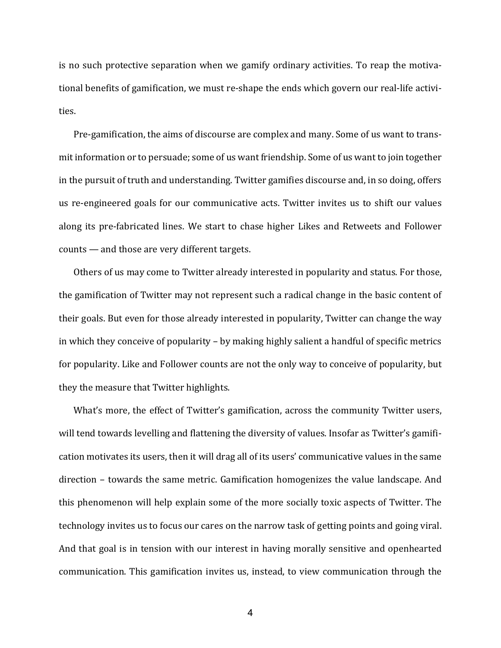is no such protective separation when we gamify ordinary activities. To reap the motivational benefits of gamification, we must re-shape the ends which govern our real-life activities.

Pre-gamification, the aims of discourse are complex and many. Some of us want to transmit information or to persuade; some of us want friendship. Some of us want to join together in the pursuit of truth and understanding. Twitter gamifies discourse and, in so doing, offers us re-engineered goals for our communicative acts. Twitter invites us to shift our values along its pre-fabricated lines. We start to chase higher Likes and Retweets and Follower  $counts$  — and those are very different targets.

Others of us may come to Twitter already interested in popularity and status. For those, the gamification of Twitter may not represent such a radical change in the basic content of their goals. But even for those already interested in popularity, Twitter can change the way in which they conceive of popularity  $-$  by making highly salient a handful of specific metrics for popularity. Like and Follower counts are not the only way to conceive of popularity, but they the measure that Twitter highlights.

What's more, the effect of Twitter's gamification, across the community Twitter users, will tend towards levelling and flattening the diversity of values. Insofar as Twitter's gamification motivates its users, then it will drag all of its users' communicative values in the same direction – towards the same metric. Gamification homogenizes the value landscape. And this phenomenon will help explain some of the more socially toxic aspects of Twitter. The technology invites us to focus our cares on the narrow task of getting points and going viral. And that goal is in tension with our interest in having morally sensitive and openhearted communication. This gamification invites us, instead, to view communication through the

4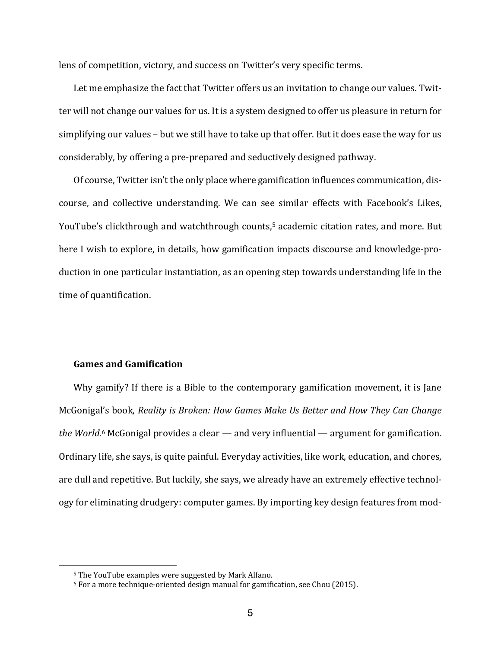lens of competition, victory, and success on Twitter's very specific terms.

Let me emphasize the fact that Twitter offers us an invitation to change our values. Twitter will not change our values for us. It is a system designed to offer us pleasure in return for simplifying our values - but we still have to take up that offer. But it does ease the way for us considerably, by offering a pre-prepared and seductively designed pathway.

Of course, Twitter isn't the only place where gamification influences communication, discourse, and collective understanding. We can see similar effects with Facebook's Likes, YouTube's clickthrough and watchthrough counts,<sup>5</sup> academic citation rates, and more. But here I wish to explore, in details, how gamification impacts discourse and knowledge-production in one particular instantiation, as an opening step towards understanding life in the time of quantification.

### **Games and Gamification**

Why gamify? If there is a Bible to the contemporary gamification movement, it is Jane McGonigal's book, *Reality is Broken: How Games Make Us Better and How They Can Change the World.*<sup>6</sup> McGonigal provides a clear — and very influential — argument for gamification. Ordinary life, she says, is quite painful. Everyday activities, like work, education, and chores, are dull and repetitive. But luckily, she says, we already have an extremely effective technology for eliminating drudgery: computer games. By importing key design features from mod-

<sup>&</sup>lt;sup>5</sup> The YouTube examples were suggested by Mark Alfano.

 $6$  For a more technique-oriented design manual for gamification, see Chou (2015).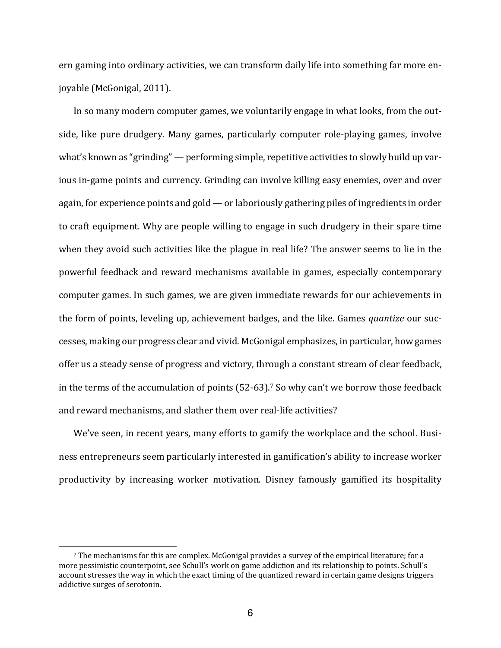ern gaming into ordinary activities, we can transform daily life into something far more enjoyable (McGonigal, 2011).

In so many modern computer games, we voluntarily engage in what looks, from the outside, like pure drudgery. Many games, particularly computer role-playing games, involve what's known as "grinding"  $-$  performing simple, repetitive activities to slowly build up various in-game points and currency. Grinding can involve killing easy enemies, over and over again, for experience points and gold  $-$  or laboriously gathering piles of ingredients in order to craft equipment. Why are people willing to engage in such drudgery in their spare time when they avoid such activities like the plague in real life? The answer seems to lie in the powerful feedback and reward mechanisms available in games, especially contemporary computer games. In such games, we are given immediate rewards for our achievements in the form of points, leveling up, achievement badges, and the like. Games *quantize* our successes, making our progress clear and vivid. McGonigal emphasizes, in particular, how games offer us a steady sense of progress and victory, through a constant stream of clear feedback, in the terms of the accumulation of points  $(52-63)$ .<sup>7</sup> So why can't we borrow those feedback and reward mechanisms, and slather them over real-life activities?

We've seen, in recent years, many efforts to gamify the workplace and the school. Business entrepreneurs seem particularly interested in gamification's ability to increase worker productivity by increasing worker motivation. Disney famously gamified its hospitality

<sup>&</sup>lt;sup>7</sup> The mechanisms for this are complex. McGonigal provides a survey of the empirical literature; for a more pessimistic counterpoint, see Schull's work on game addiction and its relationship to points. Schull's account stresses the way in which the exact timing of the quantized reward in certain game designs triggers addictive surges of serotonin.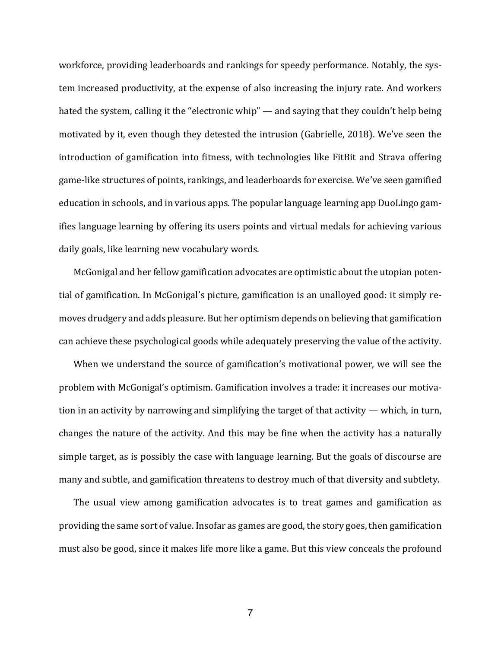workforce, providing leaderboards and rankings for speedy performance. Notably, the system increased productivity, at the expense of also increasing the injury rate. And workers hated the system, calling it the "electronic whip" — and saying that they couldn't help being motivated by it, even though they detested the intrusion (Gabrielle, 2018). We've seen the introduction of gamification into fitness, with technologies like FitBit and Strava offering game-like structures of points, rankings, and leaderboards for exercise. We've seen gamified education in schools, and in various apps. The popular language learning app DuoLingo gamifies language learning by offering its users points and virtual medals for achieving various daily goals, like learning new vocabulary words.

McGonigal and her fellow gamification advocates are optimistic about the utopian potential of gamification. In McGonigal's picture, gamification is an unalloyed good: it simply removes drudgery and adds pleasure. But her optimism depends on believing that gamification can achieve these psychological goods while adequately preserving the value of the activity.

When we understand the source of gamification's motivational power, we will see the problem with McGonigal's optimism. Gamification involves a trade: it increases our motivation in an activity by narrowing and simplifying the target of that activity — which, in turn, changes the nature of the activity. And this may be fine when the activity has a naturally simple target, as is possibly the case with language learning. But the goals of discourse are many and subtle, and gamification threatens to destroy much of that diversity and subtlety.

The usual view among gamification advocates is to treat games and gamification as providing the same sort of value. Insofar as games are good, the story goes, then gamification must also be good, since it makes life more like a game. But this view conceals the profound

7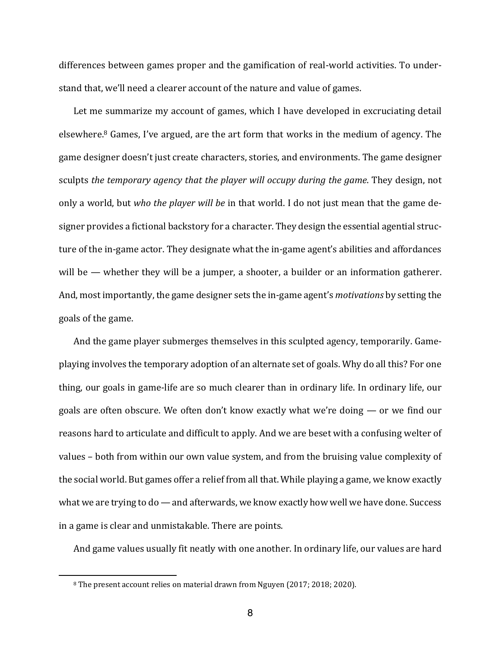differences between games proper and the gamification of real-world activities. To understand that, we'll need a clearer account of the nature and value of games.

Let me summarize my account of games, which I have developed in excruciating detail elsewhere.<sup>8</sup> Games, I've argued, are the art form that works in the medium of agency. The game designer doesn't just create characters, stories, and environments. The game designer sculpts *the temporary agency that the player will occupy during the game*. They design, not only a world, but *who the player will be* in that world. I do not just mean that the game designer provides a fictional backstory for a character. They design the essential agential structure of the in-game actor. They designate what the in-game agent's abilities and affordances will be — whether they will be a jumper, a shooter, a builder or an information gatherer. And, most importantly, the game designer sets the in-game agent's *motivations* by setting the goals of the game.

And the game player submerges themselves in this sculpted agency, temporarily. Gameplaying involves the temporary adoption of an alternate set of goals. Why do all this? For one thing, our goals in game-life are so much clearer than in ordinary life. In ordinary life, our goals are often obscure. We often don't know exactly what we're doing  $-$  or we find our reasons hard to articulate and difficult to apply. And we are beset with a confusing welter of values – both from within our own value system, and from the bruising value complexity of the social world. But games offer a relief from all that. While playing a game, we know exactly what we are trying to  $do$  — and afterwards, we know exactly how well we have done. Success in a game is clear and unmistakable. There are points.

And game values usually fit neatly with one another. In ordinary life, our values are hard

<sup>&</sup>lt;sup>8</sup> The present account relies on material drawn from Nguyen (2017; 2018; 2020).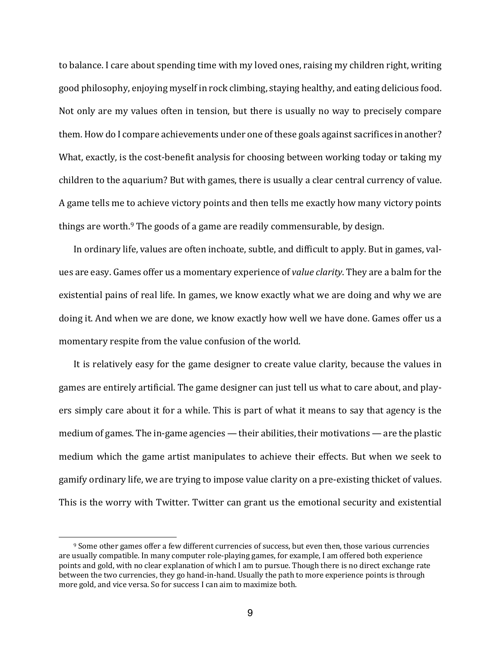to balance. I care about spending time with my loved ones, raising my children right, writing good philosophy, enjoying myself in rock climbing, staying healthy, and eating delicious food. Not only are my values often in tension, but there is usually no way to precisely compare them. How do I compare achievements under one of these goals against sacrifices in another? What, exactly, is the cost-benefit analysis for choosing between working today or taking my children to the aquarium? But with games, there is usually a clear central currency of value. A game tells me to achieve victory points and then tells me exactly how many victory points things are worth.<sup>9</sup> The goods of a game are readily commensurable, by design.

In ordinary life, values are often inchoate, subtle, and difficult to apply. But in games, values are easy. Games offer us a momentary experience of *value clarity*. They are a balm for the existential pains of real life. In games, we know exactly what we are doing and why we are doing it. And when we are done, we know exactly how well we have done. Games offer us a momentary respite from the value confusion of the world.

It is relatively easy for the game designer to create value clarity, because the values in games are entirely artificial. The game designer can just tell us what to care about, and players simply care about it for a while. This is part of what it means to say that agency is the medium of games. The in-game agencies  $-$  their abilities, their motivations  $-$  are the plastic medium which the game artist manipulates to achieve their effects. But when we seek to gamify ordinary life, we are trying to impose value clarity on a pre-existing thicket of values. This is the worry with Twitter. Twitter can grant us the emotional security and existential

<sup>&</sup>lt;sup>9</sup> Some other games offer a few different currencies of success, but even then, those various currencies are usually compatible. In many computer role-playing games, for example, I am offered both experience points and gold, with no clear explanation of which I am to pursue. Though there is no direct exchange rate between the two currencies, they go hand-in-hand. Usually the path to more experience points is through more gold, and vice versa. So for success I can aim to maximize both.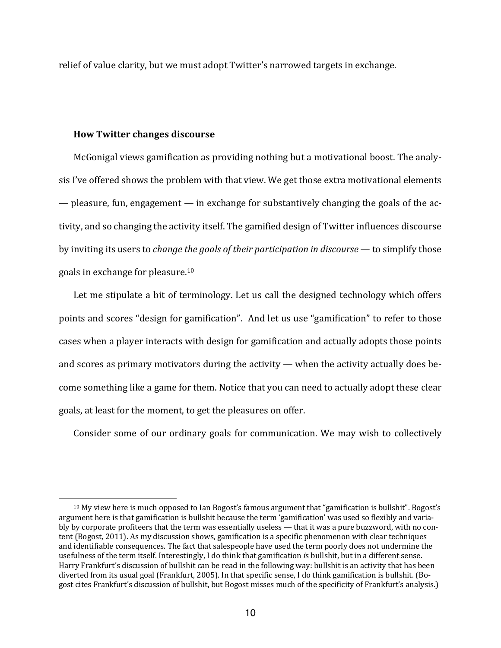relief of value clarity, but we must adopt Twitter's narrowed targets in exchange.

## **How Twitter changes discourse**

McGonigal views gamification as providing nothing but a motivational boost. The analysis I've offered shows the problem with that view. We get those extra motivational elements — pleasure, fun, engagement — in exchange for substantively changing the goals of the activity, and so changing the activity itself. The gamified design of Twitter influences discourse by inviting its users to *change the goals of their participation in discourse* — to simplify those goals in exchange for pleasure.<sup>10</sup>

Let me stipulate a bit of terminology. Let us call the designed technology which offers points and scores "design for gamification". And let us use "gamification" to refer to those cases when a player interacts with design for gamification and actually adopts those points and scores as primary motivators during the activity — when the activity actually does become something like a game for them. Notice that you can need to actually adopt these clear goals, at least for the moment, to get the pleasures on offer.

Consider some of our ordinary goals for communication. We may wish to collectively

 $10$  My view here is much opposed to Ian Bogost's famous argument that "gamification is bullshit". Bogost's argument here is that gamification is bullshit because the term 'gamification' was used so flexibly and variably by corporate profiteers that the term was essentially useless — that it was a pure buzzword, with no content (Bogost, 2011). As my discussion shows, gamification is a specific phenomenon with clear techniques and identifiable consequences. The fact that salespeople have used the term poorly does not undermine the usefulness of the term itself. Interestingly, I do think that gamification *is* bullshit, but in a different sense. Harry Frankfurt's discussion of bullshit can be read in the following way: bullshit is an activity that has been diverted from its usual goal (Frankfurt, 2005). In that specific sense, I do think gamification is bullshit. (Bogost cites Frankfurt's discussion of bullshit, but Bogost misses much of the specificity of Frankfurt's analysis.)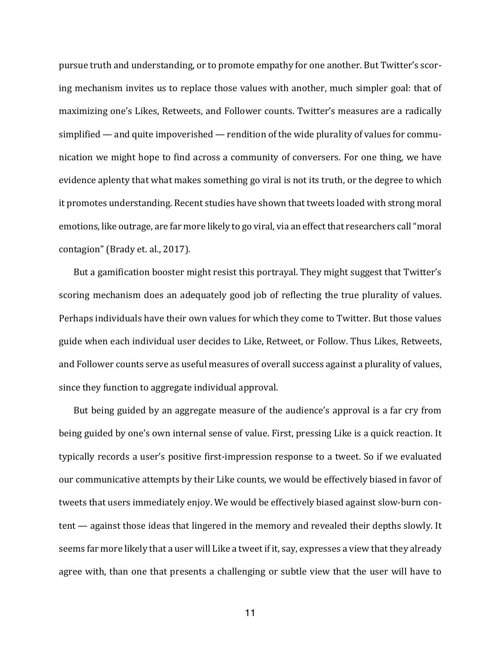pursue truth and understanding, or to promote empathy for one another. But Twitter's scoring mechanism invites us to replace those values with another, much simpler goal: that of maximizing one's Likes, Retweets, and Follower counts. Twitter's measures are a radically simplified  $-$  and quite impoverished  $-$  rendition of the wide plurality of values for communication we might hope to find across a community of conversers. For one thing, we have evidence aplenty that what makes something go viral is not its truth, or the degree to which it promotes understanding. Recent studies have shown that tweets loaded with strong moral emotions, like outrage, are far more likely to go viral, via an effect that researchers call "moral contagion" (Brady et. al., 2017).

But a gamification booster might resist this portrayal. They might suggest that Twitter's scoring mechanism does an adequately good job of reflecting the true plurality of values. Perhaps individuals have their own values for which they come to Twitter. But those values guide when each individual user decides to Like, Retweet, or Follow. Thus Likes, Retweets, and Follower counts serve as useful measures of overall success against a plurality of values, since they function to aggregate individual approval.

But being guided by an aggregate measure of the audience's approval is a far cry from being guided by one's own internal sense of value. First, pressing Like is a quick reaction. It typically records a user's positive first-impression response to a tweet. So if we evaluated our communicative attempts by their Like counts, we would be effectively biased in favor of tweets that users immediately enjoy. We would be effectively biased against slow-burn content — against those ideas that lingered in the memory and revealed their depths slowly. It seems far more likely that a user will Like a tweet if it, say, expresses a view that they already agree with, than one that presents a challenging or subtle view that the user will have to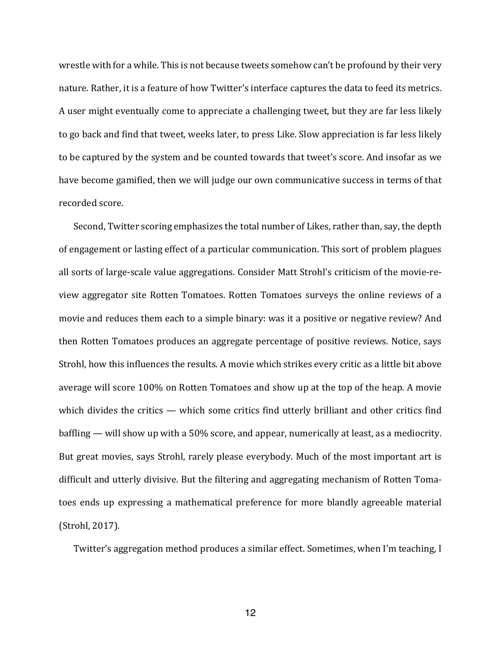wrestle with for a while. This is not because tweets somehow can't be profound by their very nature. Rather, it is a feature of how Twitter's interface captures the data to feed its metrics. A user might eventually come to appreciate a challenging tweet, but they are far less likely to go back and find that tweet, weeks later, to press Like. Slow appreciation is far less likely to be captured by the system and be counted towards that tweet's score. And insofar as we have become gamified, then we will judge our own communicative success in terms of that recorded score.

Second, Twitter scoring emphasizes the total number of Likes, rather than, say, the depth of engagement or lasting effect of a particular communication. This sort of problem plagues all sorts of large-scale value aggregations. Consider Matt Strohl's criticism of the movie-review aggregator site Rotten Tomatoes. Rotten Tomatoes surveys the online reviews of a movie and reduces them each to a simple binary: was it a positive or negative review? And then Rotten Tomatoes produces an aggregate percentage of positive reviews. Notice, says Strohl, how this influences the results. A movie which strikes every critic as a little bit above average will score 100% on Rotten Tomatoes and show up at the top of the heap. A movie which divides the critics  $-$  which some critics find utterly brilliant and other critics find baffling — will show up with a 50% score, and appear, numerically at least, as a mediocrity. But great movies, says Strohl, rarely please everybody. Much of the most important art is difficult and utterly divisive. But the filtering and aggregating mechanism of Rotten Tomatoes ends up expressing a mathematical preference for more blandly agreeable material (Strohl, 2017).

Twitter's aggregation method produces a similar effect. Sometimes, when I'm teaching, I

12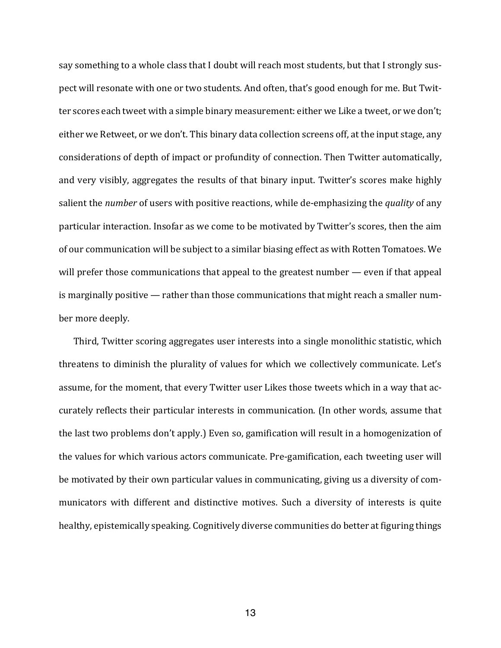say something to a whole class that I doubt will reach most students, but that I strongly suspect will resonate with one or two students. And often, that's good enough for me. But Twitter scores each tweet with a simple binary measurement: either we Like a tweet, or we don't; either we Retweet, or we don't. This binary data collection screens off, at the input stage, any considerations of depth of impact or profundity of connection. Then Twitter automatically, and very visibly, aggregates the results of that binary input. Twitter's scores make highly salient the *number* of users with positive reactions, while de-emphasizing the *quality* of any particular interaction. Insofar as we come to be motivated by Twitter's scores, then the aim of our communication will be subject to a similar biasing effect as with Rotten Tomatoes. We will prefer those communications that appeal to the greatest number  $-$  even if that appeal is marginally positive  $-$  rather than those communications that might reach a smaller number more deeply.

Third, Twitter scoring aggregates user interests into a single monolithic statistic, which threatens to diminish the plurality of values for which we collectively communicate. Let's assume, for the moment, that every Twitter user Likes those tweets which in a way that accurately reflects their particular interests in communication. (In other words, assume that the last two problems don't apply.) Even so, gamification will result in a homogenization of the values for which various actors communicate. Pre-gamification, each tweeting user will be motivated by their own particular values in communicating, giving us a diversity of communicators with different and distinctive motives. Such a diversity of interests is quite healthy, epistemically speaking. Cognitively diverse communities do better at figuring things

13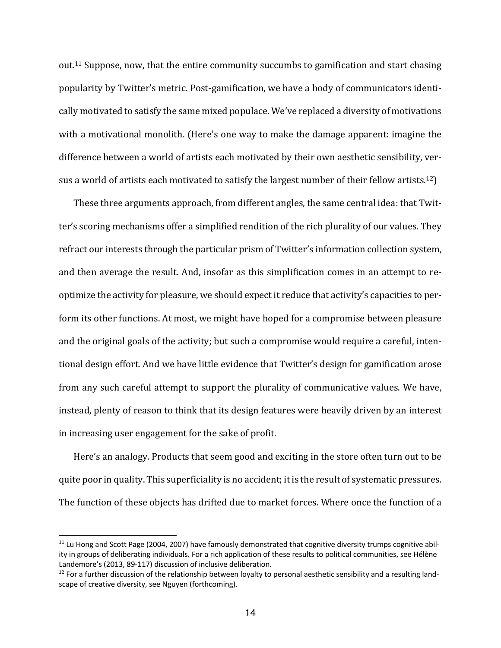out.<sup>11</sup> Suppose, now, that the entire community succumbs to gamification and start chasing popularity by Twitter's metric. Post-gamification, we have a body of communicators identically motivated to satisfy the same mixed populace. We've replaced a diversity of motivations with a motivational monolith. (Here's one way to make the damage apparent: imagine the difference between a world of artists each motivated by their own aesthetic sensibility, versus a world of artists each motivated to satisfy the largest number of their fellow artists.<sup>12</sup>)

These three arguments approach, from different angles, the same central idea: that Twitter's scoring mechanisms offer a simplified rendition of the rich plurality of our values. They refract our interests through the particular prism of Twitter's information collection system, and then average the result. And, insofar as this simplification comes in an attempt to reoptimize the activity for pleasure, we should expect it reduce that activity's capacities to perform its other functions. At most, we might have hoped for a compromise between pleasure and the original goals of the activity; but such a compromise would require a careful, intentional design effort. And we have little evidence that Twitter's design for gamification arose from any such careful attempt to support the plurality of communicative values. We have, instead, plenty of reason to think that its design features were heavily driven by an interest in increasing user engagement for the sake of profit.

Here's an analogy. Products that seem good and exciting in the store often turn out to be quite poor in quality. This superficiality is no accident; it is the result of systematic pressures. The function of these objects has drifted due to market forces. Where once the function of a

 $11$  Lu Hong and Scott Page (2004, 2007) have famously demonstrated that cognitive diversity trumps cognitive ability in groups of deliberating individuals. For a rich application of these results to political communities, see Hélène Landemore's (2013, 89-117) discussion of inclusive deliberation.

 $12$  For a further discussion of the relationship between loyalty to personal aesthetic sensibility and a resulting landscape of creative diversity, see Nguyen (forthcoming).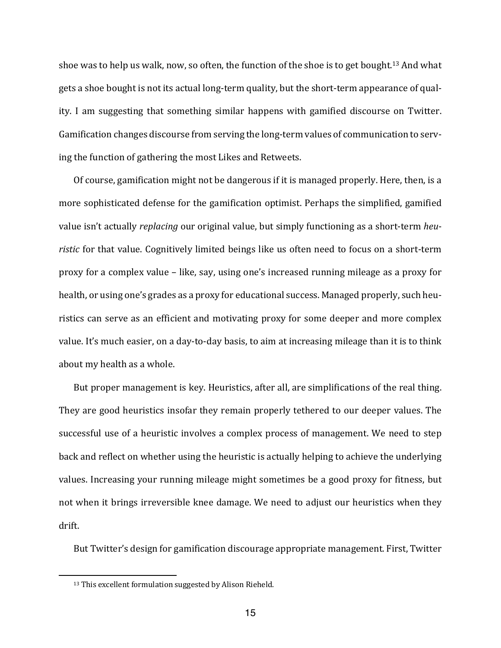shoe was to help us walk, now, so often, the function of the shoe is to get bought.<sup>13</sup> And what gets a shoe bought is not its actual long-term quality, but the short-term appearance of quality. I am suggesting that something similar happens with gamified discourse on Twitter. Gamification changes discourse from serving the long-term values of communication to serving the function of gathering the most Likes and Retweets.

Of course, gamification might not be dangerous if it is managed properly. Here, then, is a more sophisticated defense for the gamification optimist. Perhaps the simplified, gamified value isn't actually *replacing* our original value, but simply functioning as a short-term *heuristic* for that value. Cognitively limited beings like us often need to focus on a short-term proxy for a complex value – like, say, using one's increased running mileage as a proxy for health, or using one's grades as a proxy for educational success. Managed properly, such heuristics can serve as an efficient and motivating proxy for some deeper and more complex value. It's much easier, on a day-to-day basis, to aim at increasing mileage than it is to think about my health as a whole.

But proper management is key. Heuristics, after all, are simplifications of the real thing. They are good heuristics insofar they remain properly tethered to our deeper values. The successful use of a heuristic involves a complex process of management. We need to step back and reflect on whether using the heuristic is actually helping to achieve the underlying values. Increasing your running mileage might sometimes be a good proxy for fitness, but not when it brings irreversible knee damage. We need to adjust our heuristics when they drift. 

But Twitter's design for gamification discourage appropriate management. First, Twitter

<sup>&</sup>lt;sup>13</sup> This excellent formulation suggested by Alison Rieheld.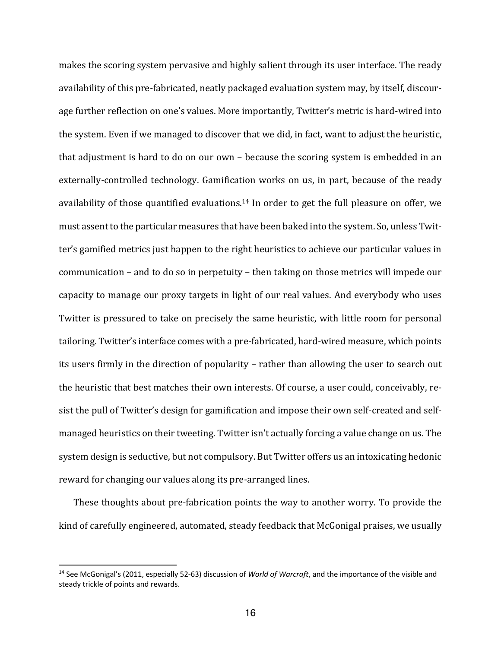makes the scoring system pervasive and highly salient through its user interface. The ready availability of this pre-fabricated, neatly packaged evaluation system may, by itself, discourage further reflection on one's values. More importantly, Twitter's metric is hard-wired into the system. Even if we managed to discover that we did, in fact, want to adjust the heuristic, that adjustment is hard to do on our own  $-$  because the scoring system is embedded in an externally-controlled technology. Gamification works on us, in part, because of the ready availability of those quantified evaluations.<sup>14</sup> In order to get the full pleasure on offer, we must assent to the particular measures that have been baked into the system. So, unless Twitter's gamified metrics just happen to the right heuristics to achieve our particular values in communication – and to do so in perpetuity – then taking on those metrics will impede our capacity to manage our proxy targets in light of our real values. And everybody who uses Twitter is pressured to take on precisely the same heuristic, with little room for personal tailoring. Twitter's interface comes with a pre-fabricated, hard-wired measure, which points its users firmly in the direction of popularity - rather than allowing the user to search out the heuristic that best matches their own interests. Of course, a user could, conceivably, resist the pull of Twitter's design for gamification and impose their own self-created and selfmanaged heuristics on their tweeting. Twitter isn't actually forcing a value change on us. The system design is seductive, but not compulsory. But Twitter offers us an intoxicating hedonic reward for changing our values along its pre-arranged lines.

These thoughts about pre-fabrication points the way to another worry. To provide the kind of carefully engineered, automated, steady feedback that McGonigal praises, we usually

<sup>14</sup> See McGonigal's (2011, especially 52-63) discussion of *World of Warcraft*, and the importance of the visible and steady trickle of points and rewards.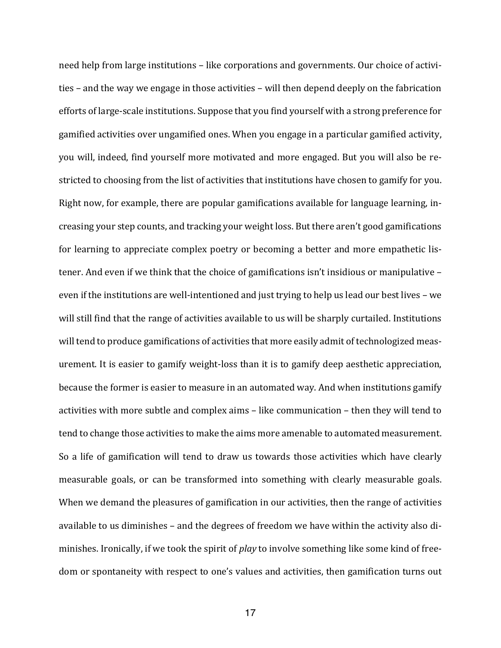need help from large institutions – like corporations and governments. Our choice of activities – and the way we engage in those activities – will then depend deeply on the fabrication efforts of large-scale institutions. Suppose that you find yourself with a strong preference for gamified activities over ungamified ones. When you engage in a particular gamified activity, you will, indeed, find yourself more motivated and more engaged. But you will also be restricted to choosing from the list of activities that institutions have chosen to gamify for you. Right now, for example, there are popular gamifications available for language learning, increasing your step counts, and tracking your weight loss. But there aren't good gamifications for learning to appreciate complex poetry or becoming a better and more empathetic listener. And even if we think that the choice of gamifications isn't insidious or manipulative even if the institutions are well-intentioned and just trying to help us lead our best lives - we will still find that the range of activities available to us will be sharply curtailed. Institutions will tend to produce gamifications of activities that more easily admit of technologized measurement. It is easier to gamify weight-loss than it is to gamify deep aesthetic appreciation, because the former is easier to measure in an automated way. And when institutions gamify activities with more subtle and complex aims  $-$  like communication  $-$  then they will tend to tend to change those activities to make the aims more amenable to automated measurement. So a life of gamification will tend to draw us towards those activities which have clearly measurable goals, or can be transformed into something with clearly measurable goals. When we demand the pleasures of gamification in our activities, then the range of activities available to us diminishes - and the degrees of freedom we have within the activity also diminishes. Ironically, if we took the spirit of *play* to involve something like some kind of freedom or spontaneity with respect to one's values and activities, then gamification turns out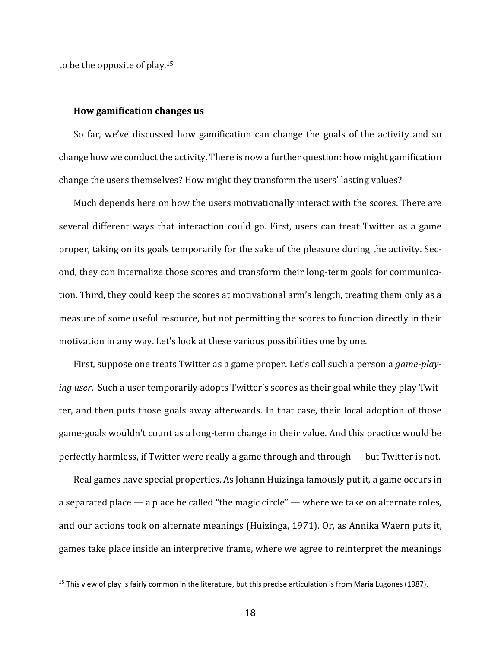to be the opposite of play.<sup>15</sup>

#### **How gamification changes us**

So far, we've discussed how gamification can change the goals of the activity and so change how we conduct the activity. There is now a further question: how might gamification change the users themselves? How might they transform the users' lasting values?

Much depends here on how the users motivationally interact with the scores. There are several different ways that interaction could go. First, users can treat Twitter as a game proper, taking on its goals temporarily for the sake of the pleasure during the activity. Second, they can internalize those scores and transform their long-term goals for communication. Third, they could keep the scores at motivational arm's length, treating them only as a measure of some useful resource, but not permitting the scores to function directly in their motivation in any way. Let's look at these various possibilities one by one.

First, suppose one treats Twitter as a game proper. Let's call such a person a *game-playing user*. Such a user temporarily adopts Twitter's scores as their goal while they play Twitter, and then puts those goals away afterwards. In that case, their local adoption of those game-goals wouldn't count as a long-term change in their value. And this practice would be perfectly harmless, if Twitter were really a game through and through — but Twitter is not.

Real games have special properties. As Johann Huizinga famously put it, a game occurs in a separated place  $-$  a place he called "the magic circle"  $-$  where we take on alternate roles, and our actions took on alternate meanings (Huizinga, 1971). Or, as Annika Waern puts it, games take place inside an interpretive frame, where we agree to reinterpret the meanings

<sup>&</sup>lt;sup>15</sup> This view of play is fairly common in the literature, but this precise articulation is from Maria Lugones (1987).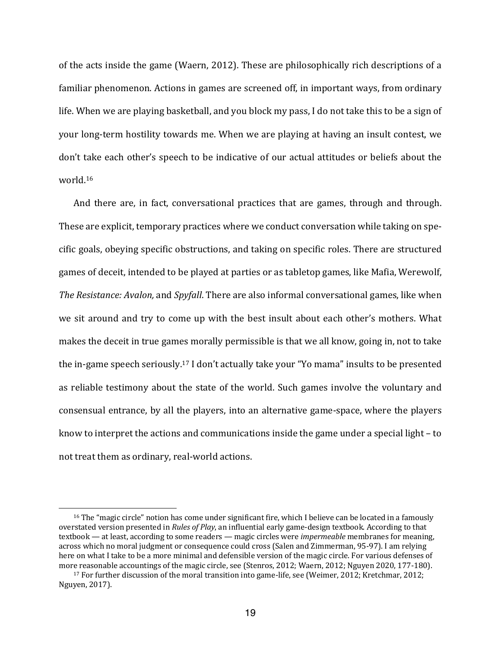of the acts inside the game (Waern, 2012). These are philosophically rich descriptions of a familiar phenomenon. Actions in games are screened off, in important ways, from ordinary life. When we are playing basketball, and you block my pass, I do not take this to be a sign of your long-term hostility towards me. When we are playing at having an insult contest, we don't take each other's speech to be indicative of our actual attitudes or beliefs about the world.16

And there are, in fact, conversational practices that are games, through and through. These are explicit, temporary practices where we conduct conversation while taking on specific goals, obeying specific obstructions, and taking on specific roles. There are structured games of deceit, intended to be played at parties or as tabletop games, like Mafia, Werewolf, *The Resistance: Avalon,* and *Spyfall*. There are also informal conversational games, like when we sit around and try to come up with the best insult about each other's mothers. What makes the deceit in true games morally permissible is that we all know, going in, not to take the in-game speech seriously.<sup>17</sup> I don't actually take your "Yo mama" insults to be presented as reliable testimony about the state of the world. Such games involve the voluntary and consensual entrance, by all the players, into an alternative game-space, where the players know to interpret the actions and communications inside the game under a special light  $-$  to not treat them as ordinary, real-world actions.

 $16$  The "magic circle" notion has come under significant fire, which I believe can be located in a famously overstated version presented in *Rules of Play*, an influential early game-design textbook. According to that textbook — at least, according to some readers — magic circles were *impermeable* membranes for meaning, across which no moral judgment or consequence could cross (Salen and Zimmerman, 95-97). I am relying here on what I take to be a more minimal and defensible version of the magic circle. For various defenses of more reasonable accountings of the magic circle, see (Stenros, 2012; Waern, 2012; Nguyen 2020, 177-180).

 $17$  For further discussion of the moral transition into game-life, see (Weimer, 2012; Kretchmar, 2012; Nguyen, 2017).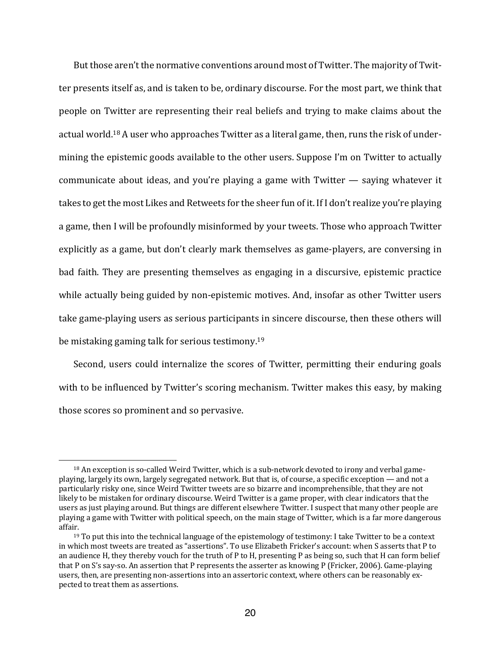But those aren't the normative conventions around most of Twitter. The majority of Twitter presents itself as, and is taken to be, ordinary discourse. For the most part, we think that people on Twitter are representing their real beliefs and trying to make claims about the actual world.<sup>18</sup> A user who approaches Twitter as a literal game, then, runs the risk of undermining the epistemic goods available to the other users. Suppose I'm on Twitter to actually communicate about ideas, and you're playing a game with Twitter  $-$  saying whatever it takes to get the most Likes and Retweets for the sheer fun of it. If I don't realize you're playing a game, then I will be profoundly misinformed by your tweets. Those who approach Twitter explicitly as a game, but don't clearly mark themselves as game-players, are conversing in bad faith. They are presenting themselves as engaging in a discursive, epistemic practice while actually being guided by non-epistemic motives. And, insofar as other Twitter users take game-playing users as serious participants in sincere discourse, then these others will be mistaking gaming talk for serious testimony.<sup>19</sup>

Second, users could internalize the scores of Twitter, permitting their enduring goals with to be influenced by Twitter's scoring mechanism. Twitter makes this easy, by making those scores so prominent and so pervasive.

 $18$  An exception is so-called Weird Twitter, which is a sub-network devoted to irony and verbal gameplaying, largely its own, largely segregated network. But that is, of course, a specific exception — and not a particularly risky one, since Weird Twitter tweets are so bizarre and incomprehensible, that they are not likely to be mistaken for ordinary discourse. Weird Twitter is a game proper, with clear indicators that the users as just playing around. But things are different elsewhere Twitter. I suspect that many other people are playing a game with Twitter with political speech, on the main stage of Twitter, which is a far more dangerous affair.

 $19$  To put this into the technical language of the epistemology of testimony: I take Twitter to be a context in which most tweets are treated as "assertions". To use Elizabeth Fricker's account: when S asserts that P to an audience H, they thereby vouch for the truth of P to H, presenting P as being so, such that H can form belief that P on S's say-so. An assertion that P represents the asserter as knowing P (Fricker, 2006). Game-playing users, then, are presenting non-assertions into an assertoric context, where others can be reasonably expected to treat them as assertions.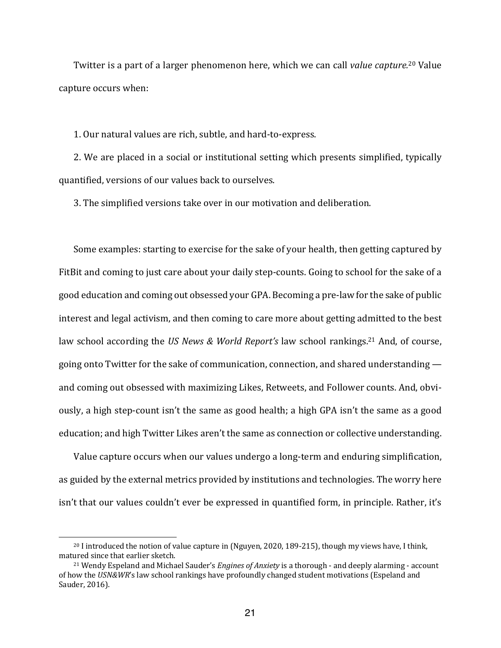Twitter is a part of a larger phenomenon here, which we can call *value capture*.<sup>20</sup> Value capture occurs when:

1. Our natural values are rich, subtle, and hard-to-express.

2. We are placed in a social or institutional setting which presents simplified, typically quantified, versions of our values back to ourselves.

3. The simplified versions take over in our motivation and deliberation.

Some examples: starting to exercise for the sake of your health, then getting captured by FitBit and coming to just care about your daily step-counts. Going to school for the sake of a good education and coming out obsessed your GPA. Becoming a pre-law for the sake of public interest and legal activism, and then coming to care more about getting admitted to the best law school according the *US News & World Report's* law school rankings.<sup>21</sup> And, of course, going onto Twitter for the sake of communication, connection, and shared understanding  $$ and coming out obsessed with maximizing Likes, Retweets, and Follower counts. And, obviously, a high step-count isn't the same as good health; a high GPA isn't the same as a good education; and high Twitter Likes aren't the same as connection or collective understanding.

Value capture occurs when our values undergo a long-term and enduring simplification, as guided by the external metrics provided by institutions and technologies. The worry here isn't that our values couldn't ever be expressed in quantified form, in principle. Rather, it's

 $^{20}$  I introduced the notion of value capture in (Nguyen, 2020, 189-215), though my views have, I think, matured since that earlier sketch.

<sup>&</sup>lt;sup>21</sup> Wendy Espeland and Michael Sauder's *Engines of Anxiety* is a thorough - and deeply alarming - account of how the *USN&WR's* law school rankings have profoundly changed student motivations (Espeland and Sauder, 2016).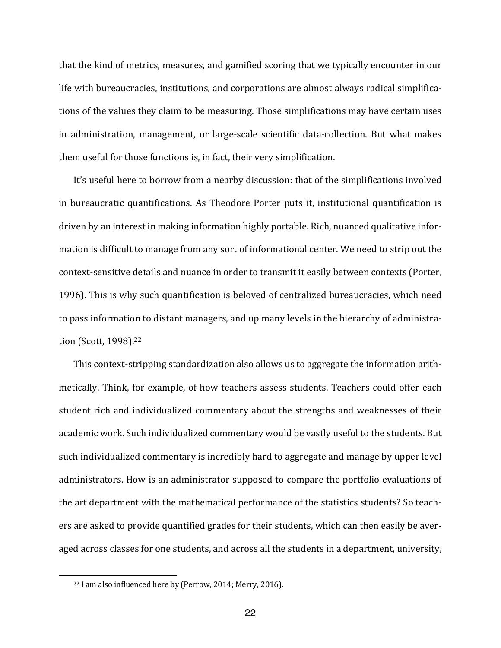that the kind of metrics, measures, and gamified scoring that we typically encounter in our life with bureaucracies, institutions, and corporations are almost always radical simplifications of the values they claim to be measuring. Those simplifications may have certain uses in administration, management, or large-scale scientific data-collection. But what makes them useful for those functions is, in fact, their very simplification.

It's useful here to borrow from a nearby discussion: that of the simplifications involved in bureaucratic quantifications. As Theodore Porter puts it, institutional quantification is driven by an interest in making information highly portable. Rich, nuanced qualitative information is difficult to manage from any sort of informational center. We need to strip out the context-sensitive details and nuance in order to transmit it easily between contexts (Porter, 1996). This is why such quantification is beloved of centralized bureaucracies, which need to pass information to distant managers, and up many levels in the hierarchy of administration (Scott, 1998).<sup>22</sup>

This context-stripping standardization also allows us to aggregate the information arithmetically. Think, for example, of how teachers assess students. Teachers could offer each student rich and individualized commentary about the strengths and weaknesses of their academic work. Such individualized commentary would be vastly useful to the students. But such individualized commentary is incredibly hard to aggregate and manage by upper level administrators. How is an administrator supposed to compare the portfolio evaluations of the art department with the mathematical performance of the statistics students? So teachers are asked to provide quantified grades for their students, which can then easily be averaged across classes for one students, and across all the students in a department, university,

<sup>&</sup>lt;sup>22</sup> I am also influenced here by (Perrow, 2014; Merry, 2016).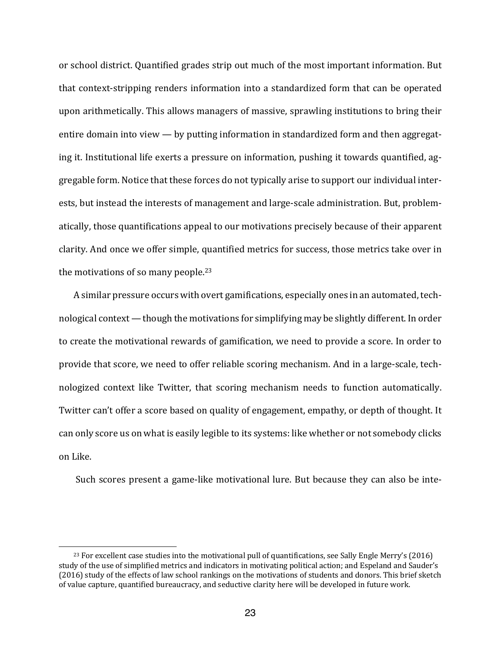or school district. Quantified grades strip out much of the most important information. But that context-stripping renders information into a standardized form that can be operated upon arithmetically. This allows managers of massive, sprawling institutions to bring their entire domain into view  $-$  by putting information in standardized form and then aggregating it. Institutional life exerts a pressure on information, pushing it towards quantified, aggregable form. Notice that these forces do not typically arise to support our individual interests, but instead the interests of management and large-scale administration. But, problematically, those quantifications appeal to our motivations precisely because of their apparent clarity. And once we offer simple, quantified metrics for success, those metrics take over in the motivations of so many people.<sup>23</sup>

A similar pressure occurs with overt gamifications, especially ones in an automated, technological context — though the motivations for simplifying may be slightly different. In order to create the motivational rewards of gamification, we need to provide a score. In order to provide that score, we need to offer reliable scoring mechanism. And in a large-scale, technologized context like Twitter, that scoring mechanism needs to function automatically. Twitter can't offer a score based on quality of engagement, empathy, or depth of thought. It can only score us on what is easily legible to its systems: like whether or not somebody clicks on Like.

Such scores present a game-like motivational lure. But because they can also be inte-

 $23$  For excellent case studies into the motivational pull of quantifications, see Sally Engle Merry's (2016) study of the use of simplified metrics and indicators in motivating political action; and Espeland and Sauder's (2016) study of the effects of law school rankings on the motivations of students and donors. This brief sketch of value capture, quantified bureaucracy, and seductive clarity here will be developed in future work.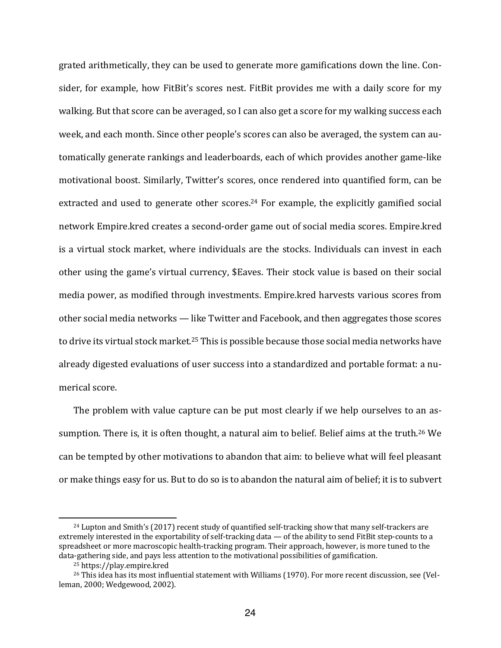grated arithmetically, they can be used to generate more gamifications down the line. Consider, for example, how FitBit's scores nest. FitBit provides me with a daily score for my walking. But that score can be averaged, so I can also get a score for my walking success each week, and each month. Since other people's scores can also be averaged, the system can automatically generate rankings and leaderboards, each of which provides another game-like motivational boost. Similarly, Twitter's scores, once rendered into quantified form, can be extracted and used to generate other scores.<sup>24</sup> For example, the explicitly gamified social network Empire.kred creates a second-order game out of social media scores. Empire.kred is a virtual stock market, where individuals are the stocks. Individuals can invest in each other using the game's virtual currency, \$Eaves. Their stock value is based on their social media power, as modified through investments. Empire.kred harvests various scores from other social media networks — like Twitter and Facebook, and then aggregates those scores to drive its virtual stock market.<sup>25</sup> This is possible because those social media networks have already digested evaluations of user success into a standardized and portable format: a numerical score.

The problem with value capture can be put most clearly if we help ourselves to an assumption. There is, it is often thought, a natural aim to belief. Belief aims at the truth.<sup>26</sup> We can be tempted by other motivations to abandon that aim: to believe what will feel pleasant or make things easy for us. But to do so is to abandon the natural aim of belief; it is to subvert

 $^{24}$  Lupton and Smith's (2017) recent study of quantified self-tracking show that many self-trackers are extremely interested in the exportability of self-tracking data — of the ability to send FitBit step-counts to a spreadsheet or more macroscopic health-tracking program. Their approach, however, is more tuned to the data-gathering side, and pays less attention to the motivational possibilities of gamification.

<sup>25</sup> https://play.empire.kred

 $^{26}$  This idea has its most influential statement with Williams (1970). For more recent discussion, see (Velleman, 2000; Wedgewood, 2002).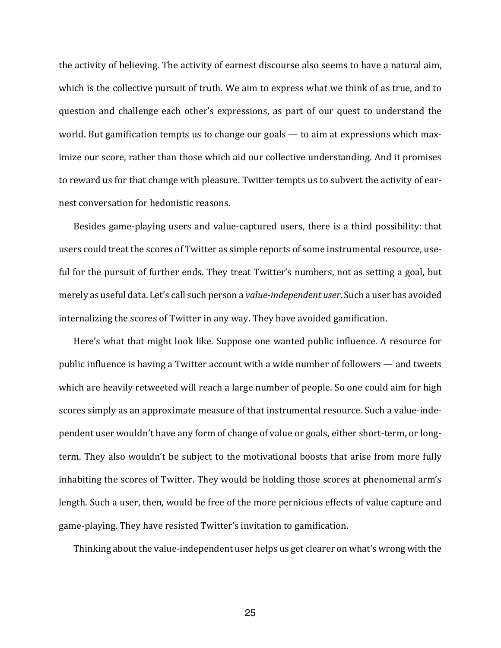the activity of believing. The activity of earnest discourse also seems to have a natural aim, which is the collective pursuit of truth. We aim to express what we think of as true, and to question and challenge each other's expressions, as part of our quest to understand the world. But gamification tempts us to change our goals  $-$  to aim at expressions which maximize our score, rather than those which aid our collective understanding. And it promises to reward us for that change with pleasure. Twitter tempts us to subvert the activity of earnest conversation for hedonistic reasons.

Besides game-playing users and value-captured users, there is a third possibility: that users could treat the scores of Twitter as simple reports of some instrumental resource, useful for the pursuit of further ends. They treat Twitter's numbers, not as setting a goal, but merely as useful data. Let's call such person a *value-independent user*. Such a user has avoided internalizing the scores of Twitter in any way. They have avoided gamification.

Here's what that might look like. Suppose one wanted public influence. A resource for public influence is having a Twitter account with a wide number of followers — and tweets which are heavily retweeted will reach a large number of people. So one could aim for high scores simply as an approximate measure of that instrumental resource. Such a value-independent user wouldn't have any form of change of value or goals, either short-term, or longterm. They also wouldn't be subject to the motivational boosts that arise from more fully inhabiting the scores of Twitter. They would be holding those scores at phenomenal arm's length. Such a user, then, would be free of the more pernicious effects of value capture and game-playing. They have resisted Twitter's invitation to gamification.

Thinking about the value-independent user helps us get clearer on what's wrong with the

25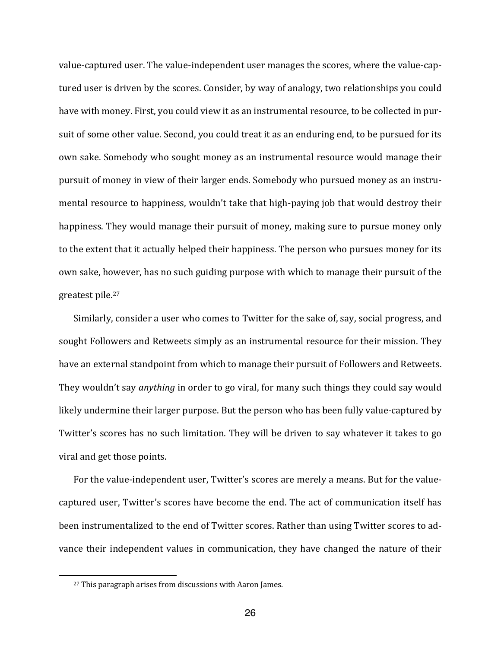value-captured user. The value-independent user manages the scores, where the value-captured user is driven by the scores. Consider, by way of analogy, two relationships you could have with money. First, you could view it as an instrumental resource, to be collected in pursuit of some other value. Second, you could treat it as an enduring end, to be pursued for its own sake. Somebody who sought money as an instrumental resource would manage their pursuit of money in view of their larger ends. Somebody who pursued money as an instrumental resource to happiness, wouldn't take that high-paying job that would destroy their happiness. They would manage their pursuit of money, making sure to pursue money only to the extent that it actually helped their happiness. The person who pursues money for its own sake, however, has no such guiding purpose with which to manage their pursuit of the greatest pile.<sup>27</sup>

Similarly, consider a user who comes to Twitter for the sake of, say, social progress, and sought Followers and Retweets simply as an instrumental resource for their mission. They have an external standpoint from which to manage their pursuit of Followers and Retweets. They wouldn't say *anything* in order to go viral, for many such things they could say would likely undermine their larger purpose. But the person who has been fully value-captured by Twitter's scores has no such limitation. They will be driven to say whatever it takes to go viral and get those points.

For the value-independent user, Twitter's scores are merely a means. But for the valuecaptured user, Twitter's scores have become the end. The act of communication itself has been instrumentalized to the end of Twitter scores. Rather than using Twitter scores to advance their independent values in communication, they have changed the nature of their

 $27$  This paragraph arises from discussions with Aaron James.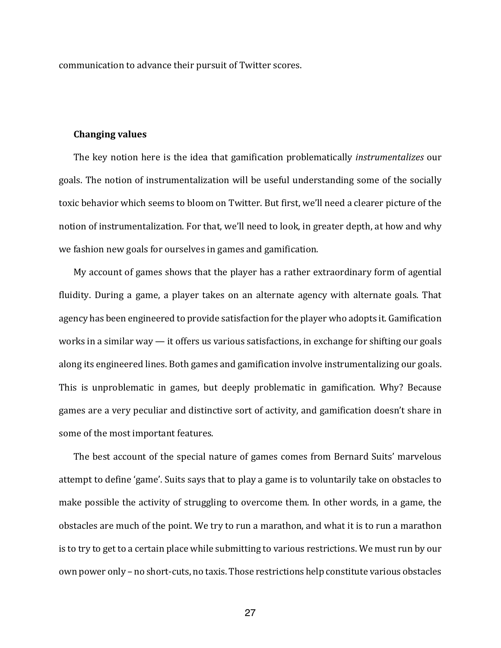communication to advance their pursuit of Twitter scores.

#### **Changing values**

The key notion here is the idea that gamification problematically *instrumentalizes* our goals. The notion of instrumentalization will be useful understanding some of the socially toxic behavior which seems to bloom on Twitter. But first, we'll need a clearer picture of the notion of instrumentalization. For that, we'll need to look, in greater depth, at how and why we fashion new goals for ourselves in games and gamification.

My account of games shows that the player has a rather extraordinary form of agential fluidity. During a game, a player takes on an alternate agency with alternate goals. That agency has been engineered to provide satisfaction for the player who adopts it. Gamification works in a similar way  $-$  it offers us various satisfactions, in exchange for shifting our goals along its engineered lines. Both games and gamification involve instrumentalizing our goals. This is unproblematic in games, but deeply problematic in gamification. Why? Because games are a very peculiar and distinctive sort of activity, and gamification doesn't share in some of the most important features.

The best account of the special nature of games comes from Bernard Suits' marvelous attempt to define 'game'. Suits says that to play a game is to voluntarily take on obstacles to make possible the activity of struggling to overcome them. In other words, in a game, the obstacles are much of the point. We try to run a marathon, and what it is to run a marathon is to try to get to a certain place while submitting to various restrictions. We must run by our own power only - no short-cuts, no taxis. Those restrictions help constitute various obstacles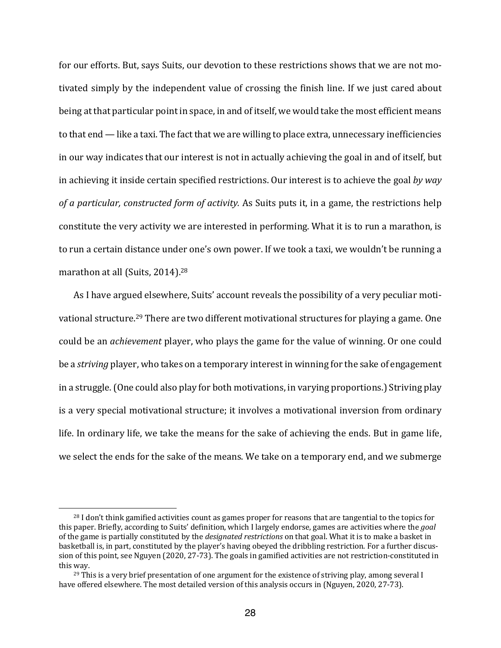for our efforts. But, says Suits, our devotion to these restrictions shows that we are not motivated simply by the independent value of crossing the finish line. If we just cared about being at that particular point in space, in and of itself, we would take the most efficient means to that end — like a taxi. The fact that we are willing to place extra, unnecessary inefficiencies in our way indicates that our interest is not in actually achieving the goal in and of itself, but in achieving it inside certain specified restrictions. Our interest is to achieve the goal by way *of a particular, constructed form of activity.* As Suits puts it, in a game, the restrictions help constitute the very activity we are interested in performing. What it is to run a marathon, is to run a certain distance under one's own power. If we took a taxi, we wouldn't be running a marathon at all (Suits,  $2014$ ).<sup>28</sup>

As I have argued elsewhere, Suits' account reveals the possibility of a very peculiar motivational structure.<sup>29</sup> There are two different motivational structures for playing a game. One could be an *achievement* player, who plays the game for the value of winning. Or one could be a *striving* player, who takes on a temporary interest in winning for the sake of engagement in a struggle. (One could also play for both motivations, in varying proportions.) Striving play is a very special motivational structure; it involves a motivational inversion from ordinary life. In ordinary life, we take the means for the sake of achieving the ends. But in game life, we select the ends for the sake of the means. We take on a temporary end, and we submerge

 $^{28}$  I don't think gamified activities count as games proper for reasons that are tangential to the topics for this paper. Briefly, according to Suits' definition, which I largely endorse, games are activities where the *goal* of the game is partially constituted by the *designated restrictions* on that goal. What it is to make a basket in basketball is, in part, constituted by the player's having obeyed the dribbling restriction. For a further discussion of this point, see Nguyen (2020, 27-73). The goals in gamified activities are not restriction-constituted in this way.

 $^{29}$  This is a very brief presentation of one argument for the existence of striving play, among several I have offered elsewhere. The most detailed version of this analysis occurs in (Nguyen, 2020, 27-73).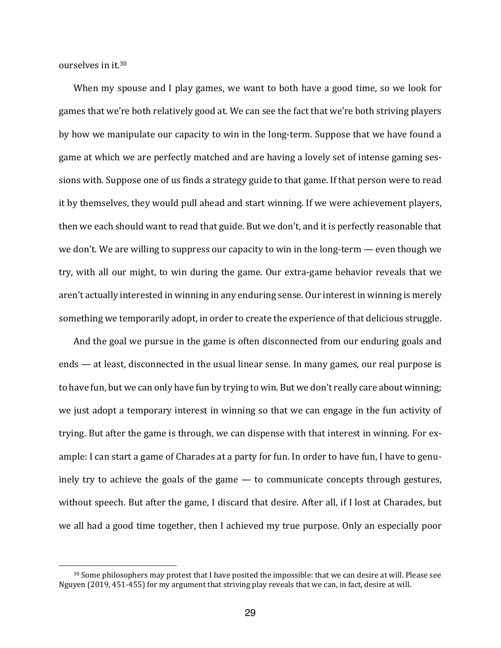ourselves in  $it.^{30}$ 

When my spouse and I play games, we want to both have a good time, so we look for games that we're both relatively good at. We can see the fact that we're both striving players by how we manipulate our capacity to win in the long-term. Suppose that we have found a game at which we are perfectly matched and are having a lovely set of intense gaming sessions with. Suppose one of us finds a strategy guide to that game. If that person were to read it by themselves, they would pull ahead and start winning. If we were achievement players, then we each should want to read that guide. But we don't, and it is perfectly reasonable that we don't. We are willing to suppress our capacity to win in the long-term  $-$  even though we try, with all our might, to win during the game. Our extra-game behavior reveals that we aren't actually interested in winning in any enduring sense. Our interest in winning is merely something we temporarily adopt, in order to create the experience of that delicious struggle.

And the goal we pursue in the game is often disconnected from our enduring goals and  $ends$  — at least, disconnected in the usual linear sense. In many games, our real purpose is to have fun, but we can only have fun by trying to win. But we don't really care about winning; we just adopt a temporary interest in winning so that we can engage in the fun activity of trying. But after the game is through, we can dispense with that interest in winning. For example: I can start a game of Charades at a party for fun. In order to have fun, I have to genuinely try to achieve the goals of the game  $-$  to communicate concepts through gestures, without speech. But after the game, I discard that desire. After all, if I lost at Charades, but we all had a good time together, then I achieved my true purpose. Only an especially poor

 $30$  Some philosophers may protest that I have posited the impossible: that we can desire at will. Please see Nguyen (2019, 451-455) for my argument that striving play reveals that we can, in fact, desire at will.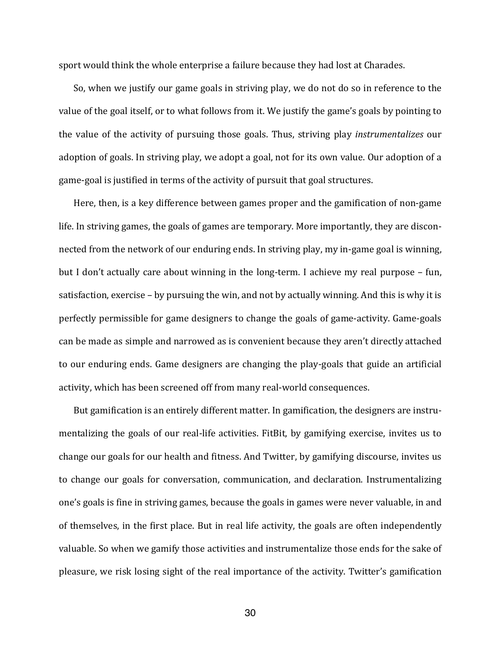sport would think the whole enterprise a failure because they had lost at Charades.

So, when we justify our game goals in striving play, we do not do so in reference to the value of the goal itself, or to what follows from it. We justify the game's goals by pointing to the value of the activity of pursuing those goals. Thus, striving play *instrumentalizes* our adoption of goals. In striving play, we adopt a goal, not for its own value. Our adoption of a game-goal is justified in terms of the activity of pursuit that goal structures.

Here, then, is a key difference between games proper and the gamification of non-game life. In striving games, the goals of games are temporary. More importantly, they are disconnected from the network of our enduring ends. In striving play, my in-game goal is winning, but I don't actually care about winning in the long-term. I achieve my real purpose – fun, satisfaction, exercise  $-$  by pursuing the win, and not by actually winning. And this is why it is perfectly permissible for game designers to change the goals of game-activity. Game-goals can be made as simple and narrowed as is convenient because they aren't directly attached to our enduring ends. Game designers are changing the play-goals that guide an artificial activity, which has been screened off from many real-world consequences.

But gamification is an entirely different matter. In gamification, the designers are instrumentalizing the goals of our real-life activities. FitBit, by gamifying exercise, invites us to change our goals for our health and fitness. And Twitter, by gamifying discourse, invites us to change our goals for conversation, communication, and declaration. Instrumentalizing one's goals is fine in striving games, because the goals in games were never valuable, in and of themselves, in the first place. But in real life activity, the goals are often independently valuable. So when we gamify those activities and instrumentalize those ends for the sake of pleasure, we risk losing sight of the real importance of the activity. Twitter's gamification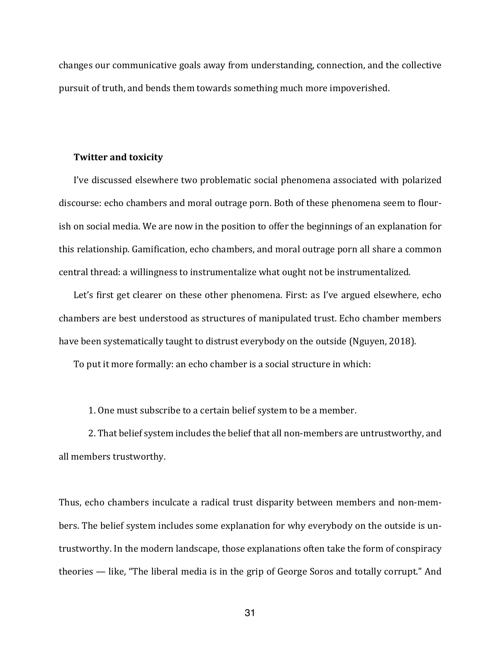changes our communicative goals away from understanding, connection, and the collective pursuit of truth, and bends them towards something much more impoverished.

#### **Twitter and toxicity**

I've discussed elsewhere two problematic social phenomena associated with polarized discourse: echo chambers and moral outrage porn. Both of these phenomena seem to flourish on social media. We are now in the position to offer the beginnings of an explanation for this relationship. Gamification, echo chambers, and moral outrage porn all share a common central thread: a willingness to instrumentalize what ought not be instrumentalized.

Let's first get clearer on these other phenomena. First: as I've argued elsewhere, echo chambers are best understood as structures of manipulated trust. Echo chamber members have been systematically taught to distrust everybody on the outside (Nguyen, 2018).

To put it more formally: an echo chamber is a social structure in which:

1. One must subscribe to a certain belief system to be a member.

2. That belief system includes the belief that all non-members are untrustworthy, and all members trustworthy.

Thus, echo chambers inculcate a radical trust disparity between members and non-members. The belief system includes some explanation for why everybody on the outside is untrustworthy. In the modern landscape, those explanations often take the form of conspiracy theories  $-$  like, "The liberal media is in the grip of George Soros and totally corrupt." And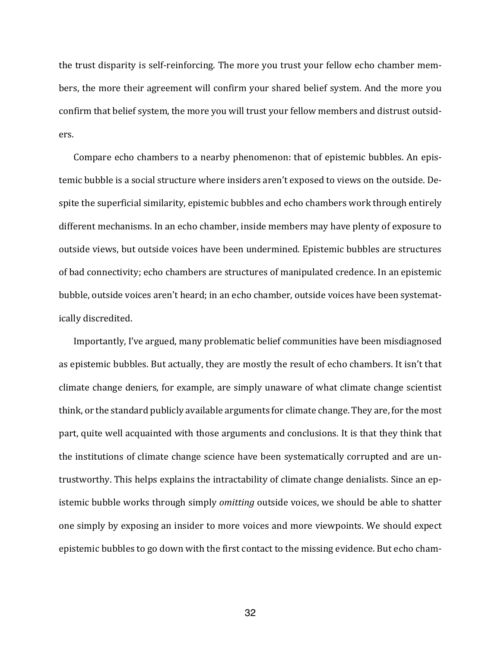the trust disparity is self-reinforcing. The more you trust your fellow echo chamber members, the more their agreement will confirm your shared belief system. And the more you confirm that belief system, the more you will trust your fellow members and distrust outsiders.

Compare echo chambers to a nearby phenomenon: that of epistemic bubbles. An epistemic bubble is a social structure where insiders aren't exposed to views on the outside. Despite the superficial similarity, epistemic bubbles and echo chambers work through entirely different mechanisms. In an echo chamber, inside members may have plenty of exposure to outside views, but outside voices have been undermined. Epistemic bubbles are structures of bad connectivity; echo chambers are structures of manipulated credence. In an epistemic bubble, outside voices aren't heard; in an echo chamber, outside voices have been systematically discredited. 

Importantly, I've argued, many problematic belief communities have been misdiagnosed as epistemic bubbles. But actually, they are mostly the result of echo chambers. It isn't that climate change deniers, for example, are simply unaware of what climate change scientist think, or the standard publicly available arguments for climate change. They are, for the most part, quite well acquainted with those arguments and conclusions. It is that they think that the institutions of climate change science have been systematically corrupted and are untrustworthy. This helps explains the intractability of climate change denialists. Since an epistemic bubble works through simply *omitting* outside voices, we should be able to shatter one simply by exposing an insider to more voices and more viewpoints. We should expect epistemic bubbles to go down with the first contact to the missing evidence. But echo cham-

32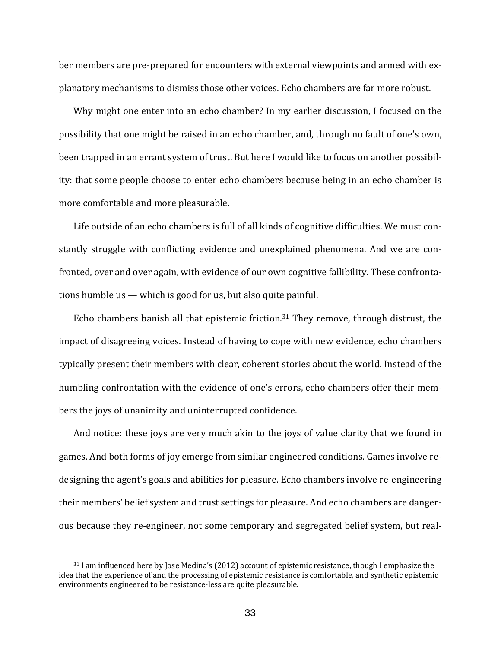ber members are pre-prepared for encounters with external viewpoints and armed with explanatory mechanisms to dismiss those other voices. Echo chambers are far more robust.

Why might one enter into an echo chamber? In my earlier discussion, I focused on the possibility that one might be raised in an echo chamber, and, through no fault of one's own, been trapped in an errant system of trust. But here I would like to focus on another possibility: that some people choose to enter echo chambers because being in an echo chamber is more comfortable and more pleasurable.

Life outside of an echo chambers is full of all kinds of cognitive difficulties. We must constantly struggle with conflicting evidence and unexplained phenomena. And we are confronted, over and over again, with evidence of our own cognitive fallibility. These confrontations humble  $us$  — which is good for us, but also quite painful.

Echo chambers banish all that epistemic friction.<sup>31</sup> They remove, through distrust, the impact of disagreeing voices. Instead of having to cope with new evidence, echo chambers typically present their members with clear, coherent stories about the world. Instead of the humbling confrontation with the evidence of one's errors, echo chambers offer their members the joys of unanimity and uninterrupted confidence.

And notice: these joys are very much akin to the joys of value clarity that we found in games. And both forms of joy emerge from similar engineered conditions. Games involve redesigning the agent's goals and abilities for pleasure. Echo chambers involve re-engineering their members' belief system and trust settings for pleasure. And echo chambers are dangerous because they re-engineer, not some temporary and segregated belief system, but real-

 $31$  I am influenced here by Jose Medina's (2012) account of epistemic resistance, though I emphasize the idea that the experience of and the processing of epistemic resistance is comfortable, and synthetic epistemic environments engineered to be resistance-less are quite pleasurable.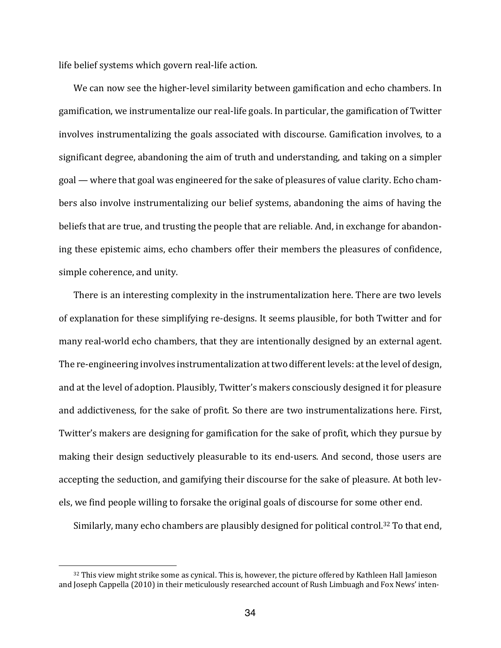life belief systems which govern real-life action.

We can now see the higher-level similarity between gamification and echo chambers. In gamification, we instrumentalize our real-life goals. In particular, the gamification of Twitter involves instrumentalizing the goals associated with discourse. Gamification involves, to a significant degree, abandoning the aim of truth and understanding, and taking on a simpler goal — where that goal was engineered for the sake of pleasures of value clarity. Echo chambers also involve instrumentalizing our belief systems, abandoning the aims of having the beliefs that are true, and trusting the people that are reliable. And, in exchange for abandoning these epistemic aims, echo chambers offer their members the pleasures of confidence, simple coherence, and unity.

There is an interesting complexity in the instrumentalization here. There are two levels of explanation for these simplifying re-designs. It seems plausible, for both Twitter and for many real-world echo chambers, that they are intentionally designed by an external agent. The re-engineering involves instrumentalization at two different levels: at the level of design, and at the level of adoption. Plausibly, Twitter's makers consciously designed it for pleasure and addictiveness, for the sake of profit. So there are two instrumentalizations here. First, Twitter's makers are designing for gamification for the sake of profit, which they pursue by making their design seductively pleasurable to its end-users. And second, those users are accepting the seduction, and gamifying their discourse for the sake of pleasure. At both levels, we find people willing to forsake the original goals of discourse for some other end.

Similarly, many echo chambers are plausibly designed for political control.<sup>32</sup> To that end,

 $32$  This view might strike some as cynical. This is, however, the picture offered by Kathleen Hall Jamieson and Joseph Cappella (2010) in their meticulously researched account of Rush Limbuagh and Fox News' inten-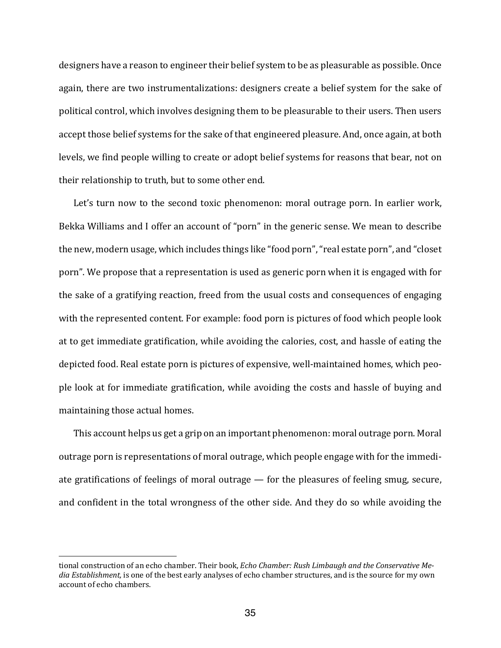designers have a reason to engineer their belief system to be as pleasurable as possible. Once again, there are two instrumentalizations: designers create a belief system for the sake of political control, which involves designing them to be pleasurable to their users. Then users accept those belief systems for the sake of that engineered pleasure. And, once again, at both levels, we find people willing to create or adopt belief systems for reasons that bear, not on their relationship to truth, but to some other end.

Let's turn now to the second toxic phenomenon: moral outrage porn. In earlier work, Bekka Williams and I offer an account of "porn" in the generic sense. We mean to describe the new, modern usage, which includes things like "food porn", "real estate porn", and "closet porn". We propose that a representation is used as generic porn when it is engaged with for the sake of a gratifying reaction, freed from the usual costs and consequences of engaging with the represented content. For example: food porn is pictures of food which people look at to get immediate gratification, while avoiding the calories, cost, and hassle of eating the depicted food. Real estate porn is pictures of expensive, well-maintained homes, which people look at for immediate gratification, while avoiding the costs and hassle of buying and maintaining those actual homes.

This account helps us get a grip on an important phenomenon: moral outrage porn. Moral outrage porn is representations of moral outrage, which people engage with for the immediate gratifications of feelings of moral outrage  $-$  for the pleasures of feeling smug, secure, and confident in the total wrongness of the other side. And they do so while avoiding the

tional construction of an echo chamber. Their book, *Echo Chamber: Rush Limbaugh and the Conservative Media Establishment*, is one of the best early analyses of echo chamber structures, and is the source for my own account of echo chambers.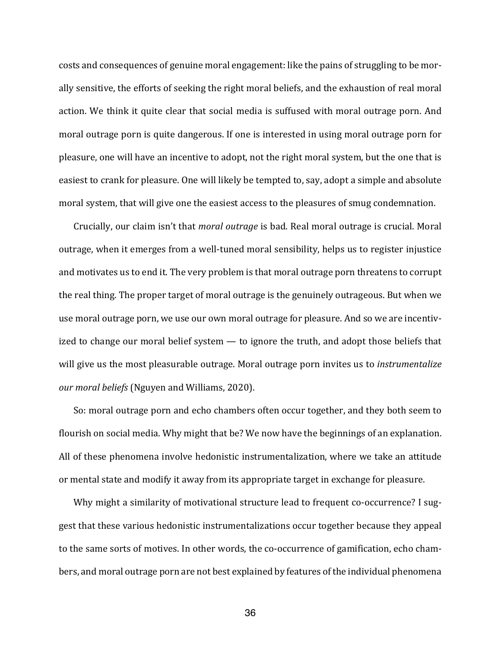costs and consequences of genuine moral engagement: like the pains of struggling to be morally sensitive, the efforts of seeking the right moral beliefs, and the exhaustion of real moral action. We think it quite clear that social media is suffused with moral outrage porn. And moral outrage porn is quite dangerous. If one is interested in using moral outrage porn for pleasure, one will have an incentive to adopt, not the right moral system, but the one that is easiest to crank for pleasure. One will likely be tempted to, say, adopt a simple and absolute moral system, that will give one the easiest access to the pleasures of smug condemnation.

Crucially, our claim isn't that *moral outrage* is bad. Real moral outrage is crucial. Moral outrage, when it emerges from a well-tuned moral sensibility, helps us to register injustice and motivates us to end it. The very problem is that moral outrage porn threatens to corrupt the real thing. The proper target of moral outrage is the genuinely outrageous. But when we use moral outrage porn, we use our own moral outrage for pleasure. And so we are incentivized to change our moral belief system  $-$  to ignore the truth, and adopt those beliefs that will give us the most pleasurable outrage. Moral outrage porn invites us to *instrumentalize our moral beliefs* (Nguyen and Williams, 2020).

So: moral outrage porn and echo chambers often occur together, and they both seem to flourish on social media. Why might that be? We now have the beginnings of an explanation. All of these phenomena involve hedonistic instrumentalization, where we take an attitude or mental state and modify it away from its appropriate target in exchange for pleasure.

Why might a similarity of motivational structure lead to frequent co-occurrence? I suggest that these various hedonistic instrumentalizations occur together because they appeal to the same sorts of motives. In other words, the co-occurrence of gamification, echo chambers, and moral outrage porn are not best explained by features of the individual phenomena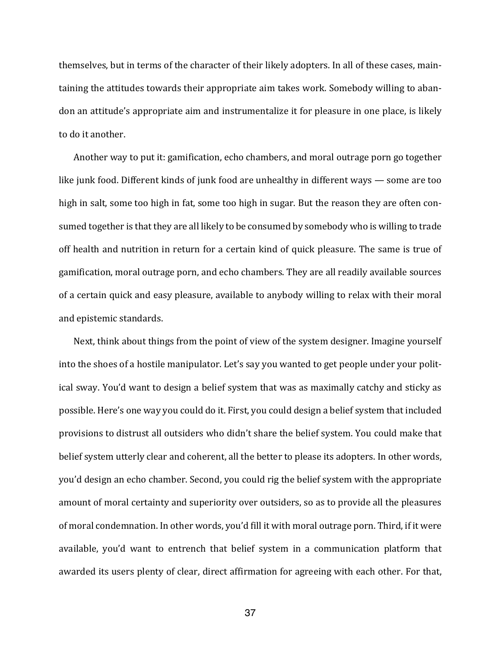themselves, but in terms of the character of their likely adopters. In all of these cases, maintaining the attitudes towards their appropriate aim takes work. Somebody willing to abandon an attitude's appropriate aim and instrumentalize it for pleasure in one place, is likely to do it another.

Another way to put it: gamification, echo chambers, and moral outrage porn go together like junk food. Different kinds of junk food are unhealthy in different ways  $-$  some are too high in salt, some too high in fat, some too high in sugar. But the reason they are often consumed together is that they are all likely to be consumed by somebody who is willing to trade off health and nutrition in return for a certain kind of quick pleasure. The same is true of gamification, moral outrage porn, and echo chambers. They are all readily available sources of a certain quick and easy pleasure, available to anybody willing to relax with their moral and epistemic standards.

Next, think about things from the point of view of the system designer. Imagine yourself into the shoes of a hostile manipulator. Let's say you wanted to get people under your political sway. You'd want to design a belief system that was as maximally catchy and sticky as possible. Here's one way you could do it. First, you could design a belief system that included provisions to distrust all outsiders who didn't share the belief system. You could make that belief system utterly clear and coherent, all the better to please its adopters. In other words, you'd design an echo chamber. Second, you could rig the belief system with the appropriate amount of moral certainty and superiority over outsiders, so as to provide all the pleasures of moral condemnation. In other words, you'd fill it with moral outrage porn. Third, if it were available, you'd want to entrench that belief system in a communication platform that awarded its users plenty of clear, direct affirmation for agreeing with each other. For that,

37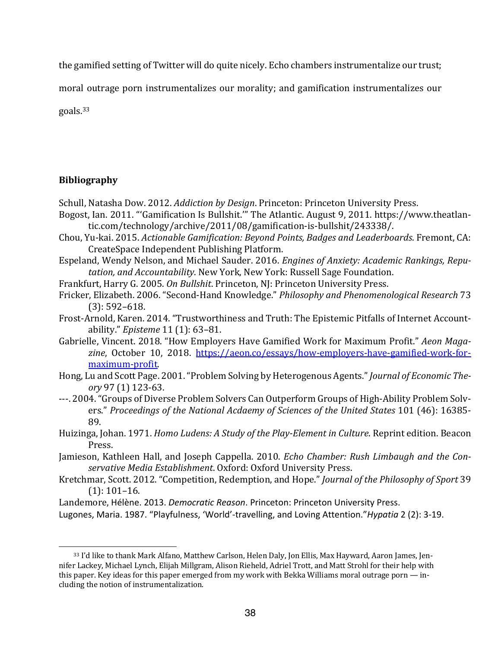the gamified setting of Twitter will do quite nicely. Echo chambers instrumentalize our trust;

moral outrage porn instrumentalizes our morality; and gamification instrumentalizes our

goals.33

# **Bibliography**

Schull, Natasha Dow. 2012. *Addiction by Design*. Princeton: Princeton University Press.

- Bogost, Ian. 2011. "'Gamification Is Bullshit."" The Atlantic. August 9, 2011. https://www.theatlantic.com/technology/archive/2011/08/gamification-is-bullshit/243338/.
- Chou, Yu-kai. 2015. Actionable Gamification: Beyond Points, Badges and Leaderboards. Fremont, CA: CreateSpace Independent Publishing Platform.
- Espeland, Wendy Nelson, and Michael Sauder. 2016. *Engines of Anxiety: Academic Rankings, Reputation, and Accountability.* New York, New York: Russell Sage Foundation.
- Frankfurt, Harry G. 2005. On Bullshit. Princeton, NJ: Princeton University Press.
- Fricker, Elizabeth. 2006. "Second-Hand Knowledge." *Philosophy and Phenomenological Research* 73  $(3): 592 - 618.$
- Frost-Arnold, Karen. 2014. "Trustworthiness and Truth: The Epistemic Pitfalls of Internet Accountability." *Episteme* 11 (1): 63–81.
- Gabrielle, Vincent. 2018. "How Employers Have Gamified Work for Maximum Profit." *Aeon Maga*zine, October 10, 2018. https://aeon.co/essays/how-employers-have-gamified-work-formaximum-profit.
- Hong, Lu and Scott Page. 2001. "Problem Solving by Heterogenous Agents." *Journal of Economic Theory* 97 (1) 123-63.
- ---. 2004. "Groups of Diverse Problem Solvers Can Outperform Groups of High-Ability Problem Solvers." Proceedings of the National Acdaemy of Sciences of the United States 101 (46): 16385-89.
- Huizinga, Johan. 1971. *Homo Ludens: A Study of the Play-Element in Culture*. Reprint edition. Beacon Press.
- Jamieson, Kathleen Hall, and Joseph Cappella. 2010. *Echo Chamber: Rush Limbaugh and the Con*servative Media Establishment. Oxford: Oxford University Press.
- Kretchmar, Scott. 2012. "Competition, Redemption, and Hope." *Journal of the Philosophy of Sport* 39  $(1): 101-16.$
- Landemore, Hélène. 2013. *Democratic Reason*. Princeton: Princeton University Press.

Lugones, Maria. 1987. "Playfulness, 'World'-travelling, and Loving Attention."*Hypatia* 2 (2): 3-19.

<sup>33</sup> I'd like to thank Mark Alfano, Matthew Carlson, Helen Daly, Jon Ellis, Max Hayward, Aaron James, Jennifer Lackey, Michael Lynch, Elijah Millgram, Alison Rieheld, Adriel Trott, and Matt Strohl for their help with this paper. Key ideas for this paper emerged from my work with Bekka Williams moral outrage porn  $-$  including the notion of instrumentalization.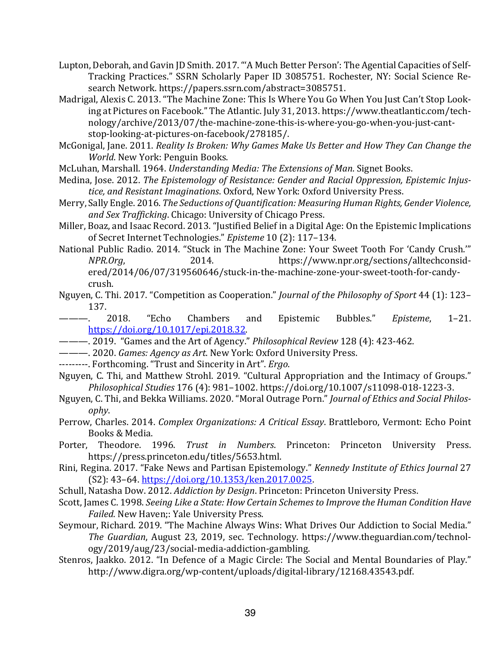- Lupton, Deborah, and Gavin JD Smith. 2017. "A Much Better Person': The Agential Capacities of Self-Tracking Practices." SSRN Scholarly Paper ID 3085751. Rochester, NY: Social Science Research Network. https://papers.ssrn.com/abstract=3085751.
- Madrigal, Alexis C. 2013. "The Machine Zone: This Is Where You Go When You Just Can't Stop Looking at Pictures on Facebook." The Atlantic. July 31, 2013. https://www.theatlantic.com/technology/archive/2013/07/the-machine-zone-this-is-where-you-go-when-you-just-cantstop-looking-at-pictures-on-facebook/278185/.
- McGonigal, Jane. 2011. *Reality Is Broken: Why Games Make Us Better and How They Can Change the World*. New York: Penguin Books.

McLuhan, Marshall. 1964. *Understanding Media: The Extensions of Man*. Signet Books.

- Medina, Jose. 2012. The Epistemology of Resistance: Gender and Racial Oppression, Epistemic Injustice, and Resistant Imaginations. Oxford, New York: Oxford University Press.
- Merry, Sally Engle. 2016. *The Seductions of Quantification: Measuring Human Rights, Gender Violence,* and Sex Trafficking. Chicago: University of Chicago Press.
- Miller, Boaz, and Isaac Record. 2013. "Justified Belief in a Digital Age: On the Epistemic Implications of Secret Internet Technologies." Episteme 10 (2): 117-134.
- National Public Radio. 2014. "Stuck in The Machine Zone: Your Sweet Tooth For 'Candy Crush."" *NPR.Org*, 2014. 2014. https://www.npr.org/sections/alltechconsidered/2014/06/07/319560646/stuck-in-the-machine-zone-your-sweet-tooth-for-candycrush.
- Nguyen, C. Thi. 2017. "Competition as Cooperation." *Journal of the Philosophy of Sport* 44 (1): 123– 137.
- -——. 2018. "Echo Chambers and Epistemic Bubbles." *Episteme*, 1–21. https://doi.org/10.1017/epi.2018.32.
- ———. 2019. "Games and the Art of Agency." *Philosophical Review* 128 (4): 423-462.
- ———. 2020. *Games: Agency as Art*. New York: Oxford University Press.
- ---------. Forthcoming. "Trust and Sincerity in Art". *Ergo*.
- Nguyen, C. Thi, and Matthew Strohl. 2019. "Cultural Appropriation and the Intimacy of Groups." *Philosophical Studies* 176 (4): 981–1002. https://doi.org/10.1007/s11098-018-1223-3.
- Nguyen, C. Thi, and Bekka Williams. 2020. "Moral Outrage Porn." *Journal of Ethics and Social Philosophy*.
- Perrow, Charles. 2014. *Complex Organizations: A Critical Essay*. Brattleboro, Vermont: Echo Point Books & Media.
- Porter, Theodore. 1996. *Trust in Numbers*. Princeton: Princeton University Press. https://press.princeton.edu/titles/5653.html.
- Rini, Regina. 2017. "Fake News and Partisan Epistemology." *Kennedy Institute of Ethics Journal* 27 (S2): 43-64. https://doi.org/10.1353/ken.2017.0025.
- Schull, Natasha Dow. 2012. *Addiction by Design*. Princeton: Princeton University Press.
- Scott, James C. 1998. *Seeing Like a State: How Certain Schemes to Improve the Human Condition Have Failed*. New Haven:: Yale University Press.
- Seymour, Richard. 2019. "The Machine Always Wins: What Drives Our Addiction to Social Media." *The Guardian*, August 23, 2019, sec. Technology. https://www.theguardian.com/technology/2019/aug/23/social-media-addiction-gambling.
- Stenros, Jaakko. 2012. "In Defence of a Magic Circle: The Social and Mental Boundaries of Play." http://www.digra.org/wp-content/uploads/digital-library/12168.43543.pdf.